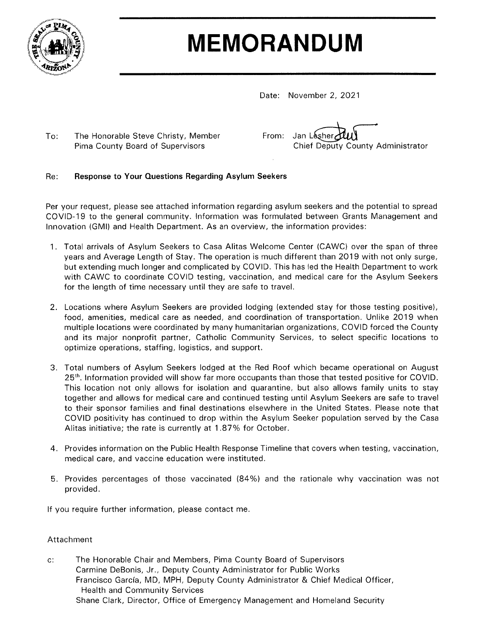

# **MEMORANDUM**

Date: November 2, 2021

 $To:$ The Honorable Steve Christy, Member Pima County Board of Supervisors

| From: Jan Lesher July             |
|-----------------------------------|
| Chief Deputy County Administrator |

#### Re: **Response to Your Questions Regarding Asylum Seekers**

Per your request, please see attached information regarding asylum seekers and the potential to spread COVID-19 to the general community. Information was formulated between Grants Management and Innovation (GMI) and Health Department. As an overview, the information provides:

- 1. Total arrivals of Asylum Seekers to Casa Alitas Welcome Center (CAWC) over the span of three years and Average Length of Stay. The operation is much different than 2019 with not only surge, but extending much longer and complicated by COVID. This has led the Health Department to work with CAWC to coordinate COVID testing, vaccination, and medical care for the Asylum Seekers for the length of time necessary until they are safe to travel.
- 2. Locations where Asylum Seekers are provided lodging (extended stay for those testing positive), food, amenities, medical care as needed, and coordination of transportation. Unlike 2019 when multiple locations were coordinated by many humanitarian organizations, COVID forced the County and its major nonprofit partner, Catholic Community Services, to select specific locations to optimize operations, staffing, logistics, and support.
- 3. Total numbers of Asylum Seekers lodged at the Red Roof which became operational on August 25<sup>th</sup>. Information provided will show far more occupants than those that tested positive for COVID. This location not only allows for isolation and quarantine, but also allows family units to stay together and allows for medical care and continued testing until Asylum Seekers are safe to travel to their sponsor families and final destinations elsewhere in the United States. Please note that COVID positivity has continued to drop within the Asylum Seeker population served by the Casa Alitas initiative; the rate is currently at 1.87% for October.
- 4. Provides information on the Public Health Response Timeline that covers when testing, vaccination, medical care, and vaccine education were instituted.
- 5. Provides percentages of those vaccinated (84%) and the rationale why vaccination was not provided.

If you require further information, please contact me.

#### Attachment

The Honorable Chair and Members, Pima County Board of Supervisors  $\mathsf{c}$ : Carmine DeBonis, Jr., Deputy County Administrator for Public Works Francisco García, MD, MPH, Deputy County Administrator & Chief Medical Officer, **Health and Community Services** Shane Clark, Director, Office of Emergency Management and Homeland Security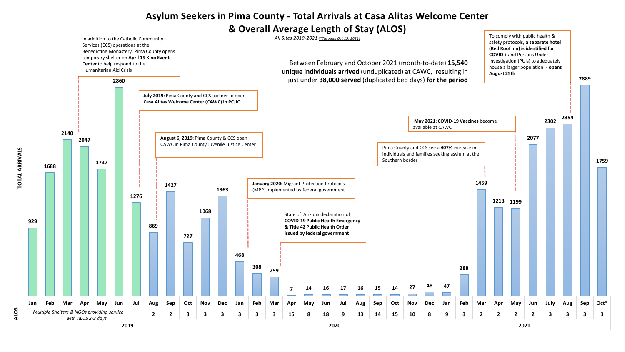### **Asylum Seekers in Pima County - Total Arrivals at Casa Alitas Welcome Center**

#### **& Overall Average Length of Stay (ALOS)**



**TOTAL ARRIVALS**

**TOTAL ARRIVALS** 

**ALOS**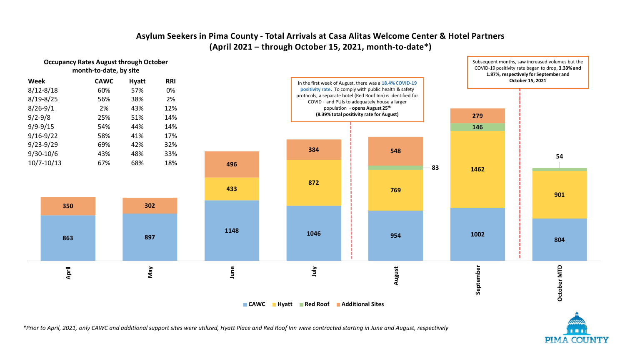#### **Asylum Seekers in Pima County - Total Arrivals at Casa Alitas Welcome Center & Hotel Partners (April 2021 – through October 15, 2021, month-to-date\*)**



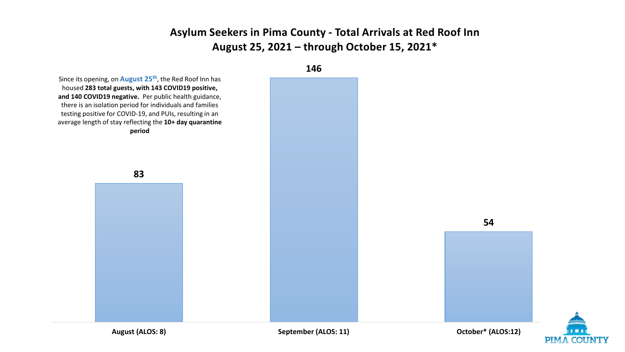## **Asylum Seekers in Pima County - Total Arrivals at Red Roof Inn August 25, 2021 – through October 15, 2021\***



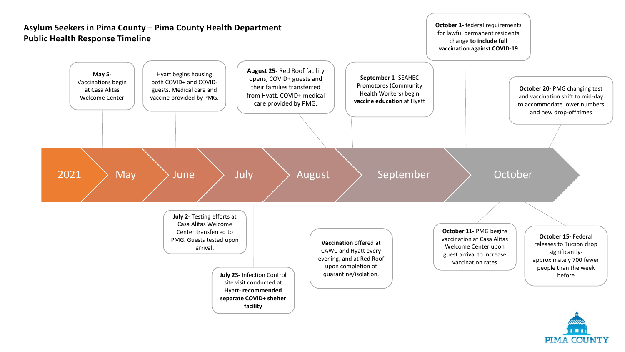

**PIMA COUNTY**